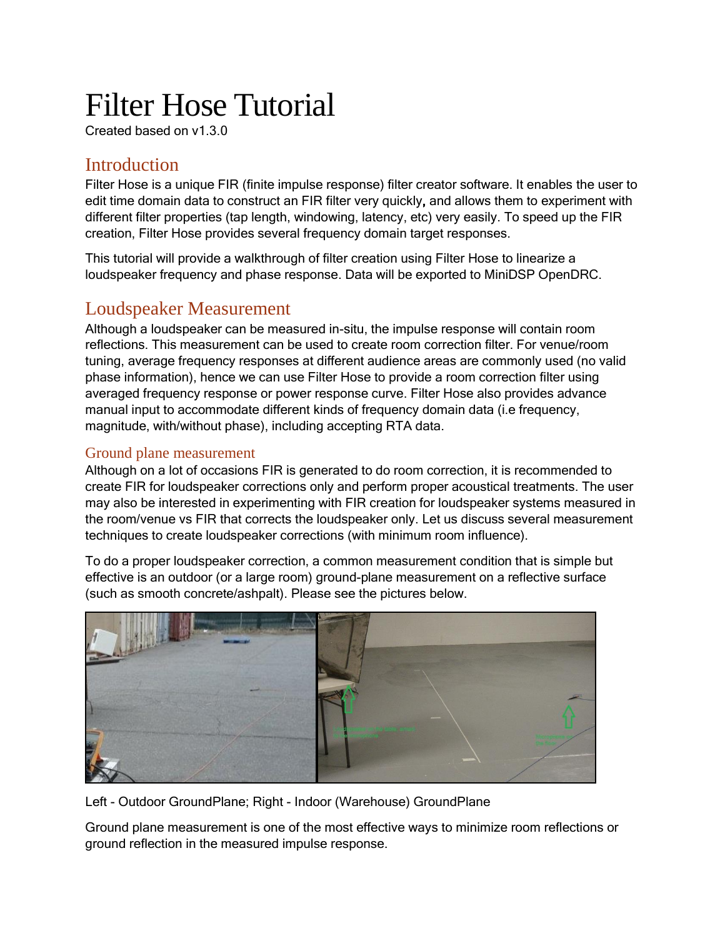# Filter Hose Tutorial

Created based on v1.3.0

# **Introduction**

Filter Hose is a unique FIR (finite impulse response) filter creator software. It enables the user to edit time domain data to construct an FIR filter very quickly, and allows them to experiment with different filter properties (tap length, windowing, latency, etc) very easily. To speed up the FIR creation, Filter Hose provides several frequency domain target responses.

This tutorial will provide a walkthrough of filter creation using Filter Hose to linearize a loudspeaker frequency and phase response. Data will be exported to MiniDSP OpenDRC.

## Loudspeaker Measurement

Although a loudspeaker can be measured in-situ, the impulse response will contain room reflections. This measurement can be used to create room correction filter. For venue/room tuning, average frequency responses at different audience areas are commonly used (no valid phase information), hence we can use Filter Hose to provide a room correction filter using averaged frequency response or power response curve. Filter Hose also provides advance manual input to accommodate different kinds of frequency domain data (i.e frequency, magnitude, with/without phase), including accepting RTA data.

## Ground plane measurement

Although on a lot of occasions FIR is generated to do room correction, it is recommended to create FIR for loudspeaker corrections only and perform proper acoustical treatments. The user may also be interested in experimenting with FIR creation for loudspeaker systems measured in the room/venue vs FIR that corrects the loudspeaker only. Let us discuss several measurement techniques to create loudspeaker corrections (with minimum room influence).

To do a proper loudspeaker correction, a common measurement condition that is simple but effective is an outdoor (or a large room) ground-plane measurement on a reflective surface (such as smooth concrete/ashpalt). Please see the pictures below.



Left - Outdoor GroundPlane; Right - Indoor (Warehouse) GroundPlane

Ground plane measurement is one of the most effective ways to minimize room reflections or ground reflection in the measured impulse response.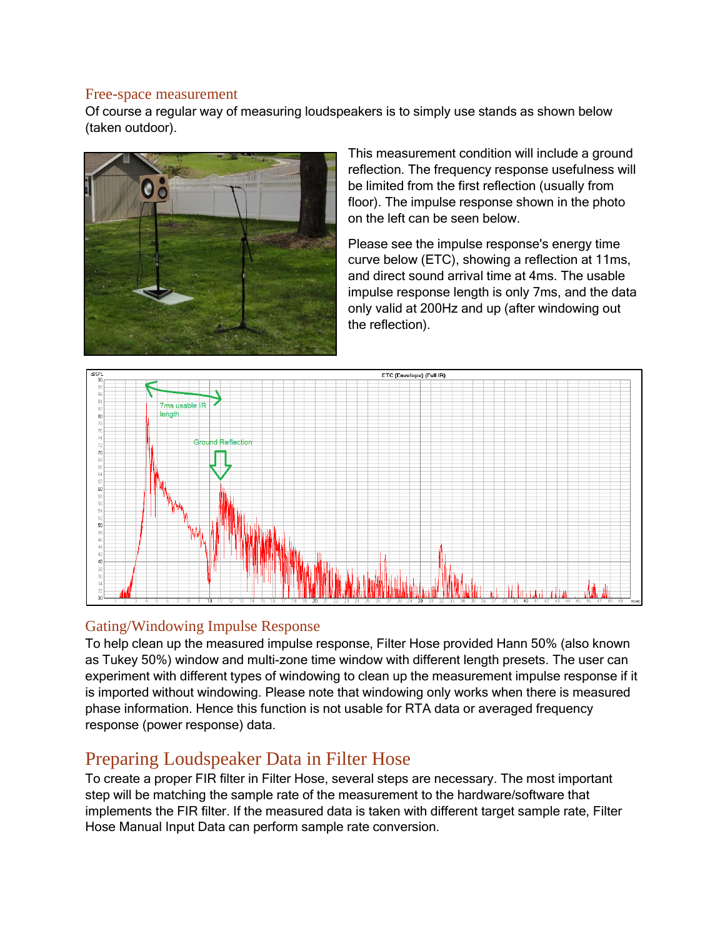#### Free-space measurement

Of course a regular way of measuring loudspeakers is to simply use stands as shown below (taken outdoor).



This measurement condition will include a ground reflection. The frequency response usefulness will be limited from the first reflection (usually from floor). The impulse response shown in the photo on the left can be seen below.

Please see the impulse response's energy time curve below (ETC), showing a reflection at 11ms, and direct sound arrival time at 4ms. The usable impulse response length is only 7ms, and the data only valid at 200Hz and up (after windowing out the reflection).



### Gating/Windowing Impulse Response

To help clean up the measured impulse response, Filter Hose provided Hann 50% (also known as Tukey 50%) window and multi-zone time window with different length presets. The user can experiment with different types of windowing to clean up the measurement impulse response if it is imported without windowing. Please note that windowing only works when there is measured phase information. Hence this function is not usable for RTA data or averaged frequency response (power response) data.

## Preparing Loudspeaker Data in Filter Hose

To create a proper FIR filter in Filter Hose, several steps are necessary. The most important step will be matching the sample rate of the measurement to the hardware/software that implements the FIR filter. If the measured data is taken with different target sample rate, Filter Hose Manual Input Data can perform sample rate conversion.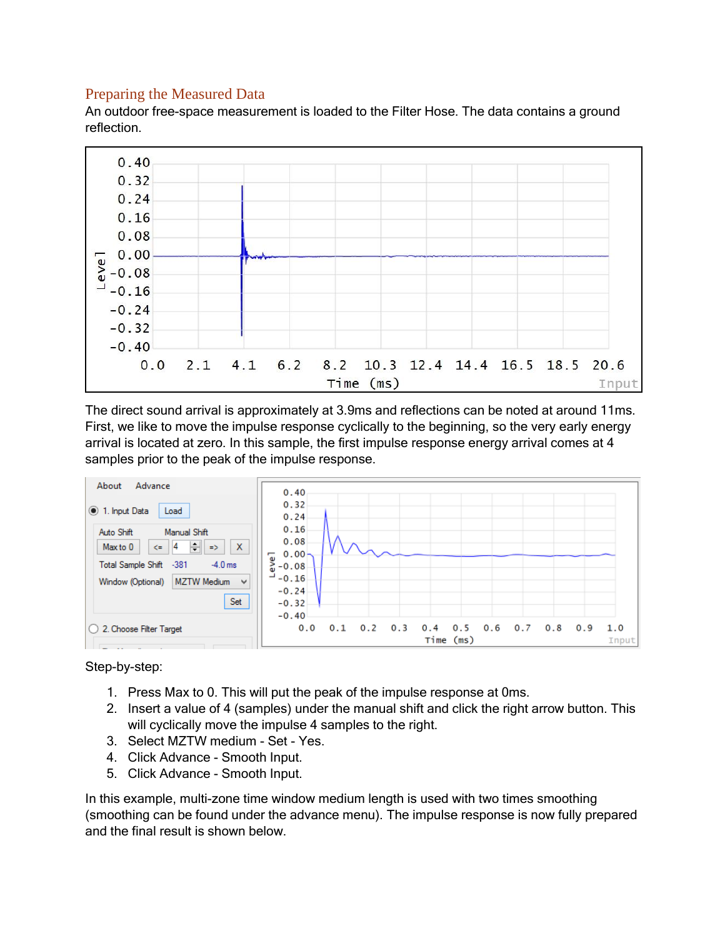### Preparing the Measured Data

An outdoor free-space measurement is loaded to the Filter Hose. The data contains a ground reflection.



The direct sound arrival is approximately at 3.9ms and reflections can be noted at around 11ms. First, we like to move the impulse response cyclically to the beginning, so the very early energy arrival is located at zero. In this sample, the first impulse response energy arrival comes at 4 samples prior to the peak of the impulse response.



Step-by-step:

- 1. Press Max to 0. This will put the peak of the impulse response at 0ms.
- 2. Insert a value of 4 (samples) under the manual shift and click the right arrow button. This will cyclically move the impulse 4 samples to the right.
- 3. Select MZTW medium Set Yes.
- 4. Click Advance Smooth Input.
- 5. Click Advance Smooth Input.

In this example, multi-zone time window medium length is used with two times smoothing (smoothing can be found under the advance menu). The impulse response is now fully prepared and the final result is shown below.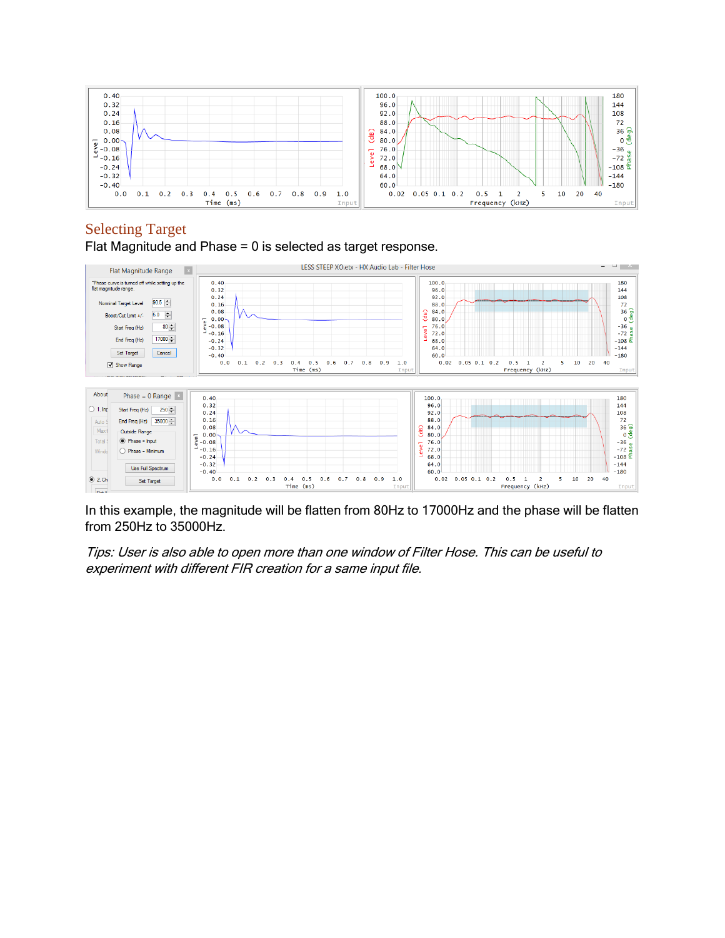

## Selecting Target

Flat Magnitude and Phase = 0 is selected as target response.



In this example, the magnitude will be flatten from 80Hz to 17000Hz and the phase will be flatten from 250Hz to 35000Hz.

Tips: User is also able to open more than one window of Filter Hose. This can be useful to experiment with different FIR creation for a same input file.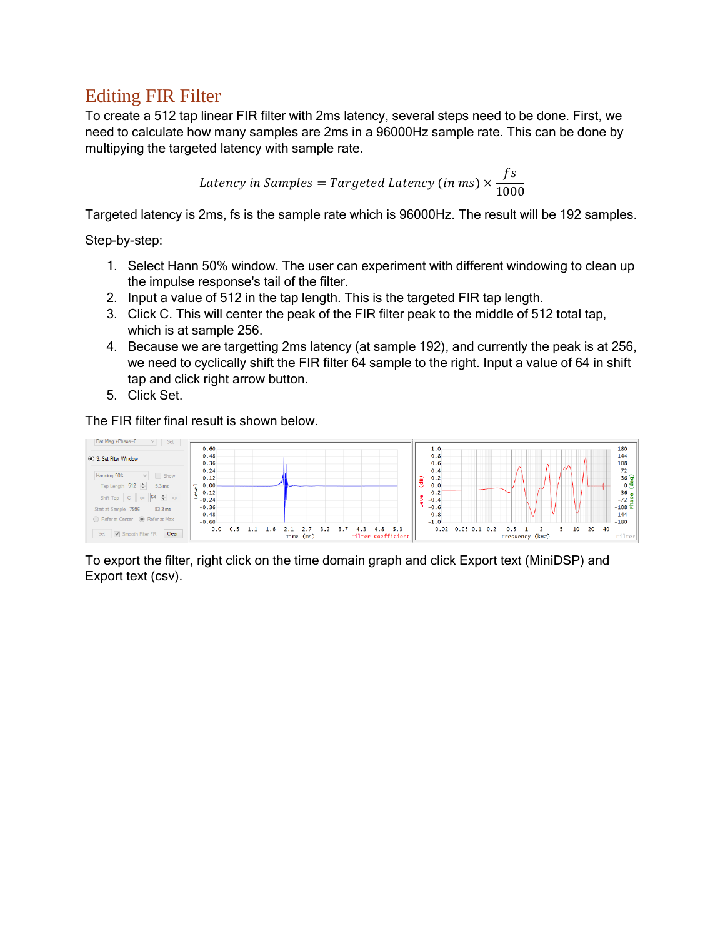# Editing FIR Filter

To create a 512 tap linear FIR filter with 2ms latency, several steps need to be done. First, we need to calculate how many samples are 2ms in a 96000Hz sample rate. This can be done by multipying the targeted latency with sample rate.

$$
Latency in Samples = Targeted Latency (in ms) \times \frac{fs}{1000}
$$

Targeted latency is 2ms, fs is the sample rate which is 96000Hz. The result will be 192 samples.

Step-by-step:

- 1. Select Hann 50% window. The user can experiment with different windowing to clean up the impulse response's tail of the filter.
- 2. Input a value of 512 in the tap length. This is the targeted FIR tap length.
- 3. Click C. This will center the peak of the FIR filter peak to the middle of 512 total tap, which is at sample 256.
- 4. Because we are targetting 2ms latency (at sample 192), and currently the peak is at 256, we need to cyclically shift the FIR filter 64 sample to the right. Input a value of 64 in shift tap and click right arrow button.
- 5. Click Set.

The FIR filter final result is shown below.



To export the filter, right click on the time domain graph and click Export text (MiniDSP) and Export text (csv).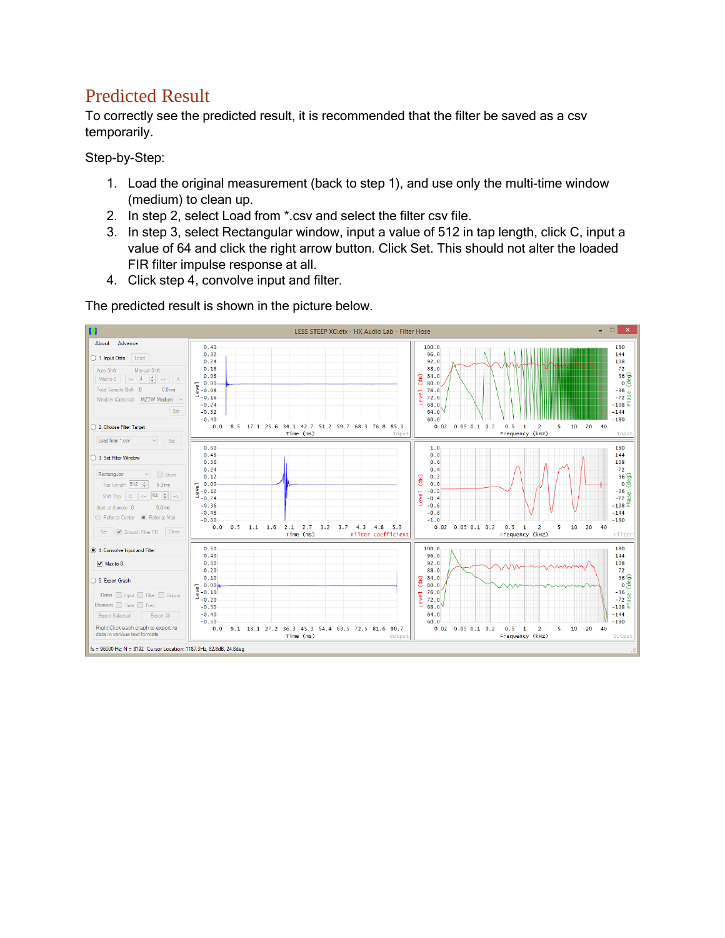# Predicted Result

To correctly see the predicted result, it is recommended that the filter be saved as a csv temporarily.

Step-by-Step:

- 1. Load the original measurement (back to step 1), and use only the multi-time window (medium) to clean up.
- 2. In step 2, select Load from \*.csv and select the filter csv file.
- 3. In step 3, select Rectangular window, input a value of 512 in tap length, click C, input a value of 64 and click the right arrow button. Click Set. This should not alter the loaded FIR filter impulse response at all.
- 4. Click step 4, convolve input and filter.

The predicted result is shown in the picture below.

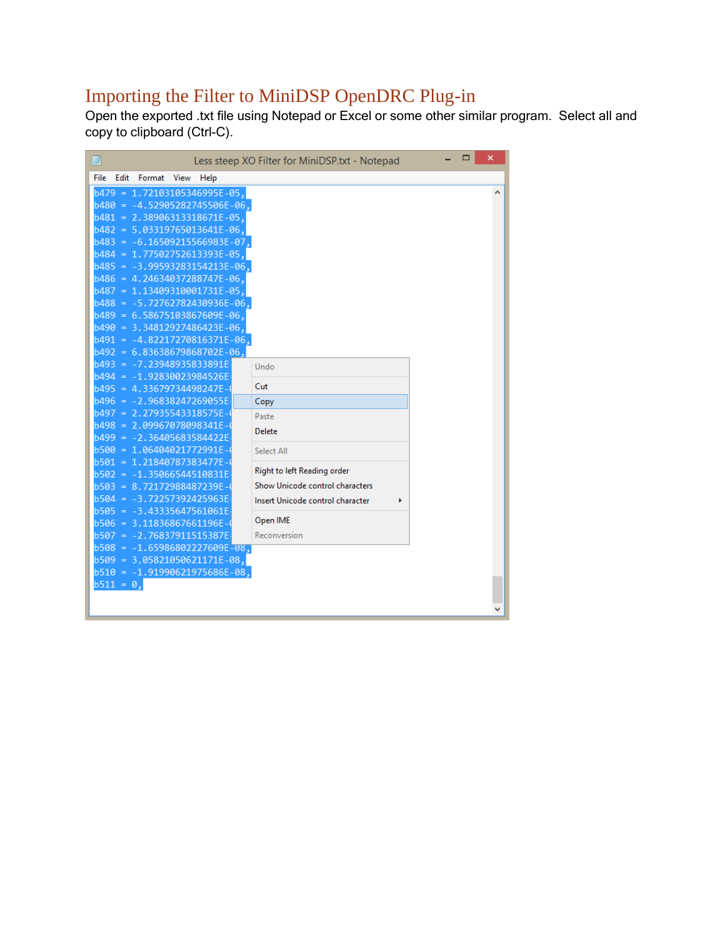# Importing the Filter to MiniDSP OpenDRC Plug-in

Open the exported .txt file using Notepad or Excel or some other similar program. Select all and copy to clipboard (Ctrl-C).

| ▉                                                             | Less steep XO Filter for MiniDSP.txt - Notepad | ▭ | × |
|---------------------------------------------------------------|------------------------------------------------|---|---|
| Edit<br>Format<br><b>File</b><br>View<br>Help                 |                                                |   |   |
| $b479 = 1.72103105346995E-05$ ,                               |                                                |   |   |
| $b480 = -4.52905282745506E-06$                                |                                                |   |   |
| b481<br>$= 2.38906313318671E-05$                              |                                                |   |   |
| $b482 = 5.03319765013641E-06$                                 |                                                |   |   |
| $b483 = -6.16509215566983E$<br>-07                            |                                                |   |   |
| b484 = 1.7750275261<br>3393F<br>-05                           |                                                |   |   |
| b485 = -3.9959328315421                                       | -06.                                           |   |   |
| $b486 = 4.24634037288747E-06$                                 |                                                |   |   |
| b487 = 1.13409310001<br>731E-05.                              |                                                |   |   |
| $b488 = -5.72762782430936E-06.$                               |                                                |   |   |
| ,6489 = 6.58675103867609E-06 -                                |                                                |   |   |
| b490 = 3.34812927486423E-06.<br>b491 = -4.82217270816371E-06. |                                                |   |   |
| ,6492 = 6.83638679868702E-06                                  |                                                |   |   |
| $h493 =$<br>-7.23948935833891F                                | Undo                                           |   |   |
| b494<br>-1.92830023984526F<br>$\equiv$                        |                                                |   |   |
| $b495 = 4.33679734498247E$                                    | Cut                                            |   |   |
| b496<br>= -2.96838247269055E                                  | Copy                                           |   |   |
| b497<br>$= 2.27935$                                           | Paste                                          |   |   |
| b498 = 2.09967078098341E                                      | <b>Delete</b>                                  |   |   |
| $b499 = -2.36405683584422E$                                   |                                                |   |   |
| b500 = 1.06404021772991E-                                     | Select All                                     |   |   |
| $= 1.21840787383477E$<br>b501                                 | Right to left Reading order                    |   |   |
| $b502 = -1.35066544510831E$                                   |                                                |   |   |
| $= 8.72172988487239E$<br>b503                                 | Show Unicode control characters                |   |   |
| b504<br>$= -3.72257392425963E$                                | Insert Unicode control character               |   |   |
| b505 = -3.43335647561061E<br>$= 3.11836867661196E$<br>b506    | Open IME                                       |   |   |
| b507<br>$= -2.76837911515387E$                                | Reconversion                                   |   |   |
| b508 = -1.65986802227609E-08.                                 |                                                |   |   |
| $b509 = 3.05821050621171E-08,$                                |                                                |   |   |
| $b510 = -1.91990621975686E-08$                                |                                                |   |   |
| $b511 = 0$ ,                                                  |                                                |   |   |
|                                                               |                                                |   |   |
|                                                               |                                                |   |   |